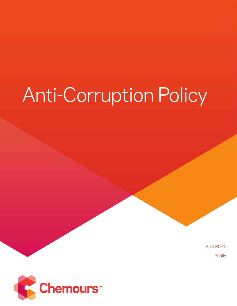# **Anti-Corruption Policy**

**April 2021** Public

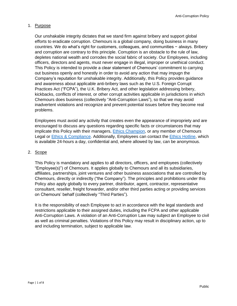# 1. Purpose

Our unshakable integrity dictates that we stand firm against bribery and support global efforts to eradicate corruption. Chemours is a global company, doing business in many countries. We do what's right for customers, colleagues, and communities − always. Bribery and corruption are contrary to this principle. Corruption is an obstacle to the rule of law, depletes national wealth and corrodes the social fabric of society. Our Employees, including officers, directors and agents, must never engage in illegal, improper or unethical conduct. This Policy is intended to provide a clear statement of Chemours' commitment to carrying out business openly and honestly in order to avoid any action that may impugn the Company's reputation for unshakable integrity. Additionally, this Policy provides guidance and awareness about applicable anti-bribery laws such as the U.S. Foreign Corrupt Practices Act ("FCPA"), the U.K. Bribery Act, and other legislation addressing bribery, kickbacks, conflicts of interest, or other corrupt activities applicable in jurisdictions in which Chemours does business (collectively "Anti-Corruption Laws"), so that we may avoid inadvertent violations and recognize and prevent potential issues before they become real problems.

Employees must avoid any activity that creates even the appearance of impropriety and are encouraged to discuss any questions regarding specific facts or circumstances that may implicate this Policy with their managers, [Ethics Champion,](https://chemours.sharepoint.com/legal/POLICIES%20PROCEDURES%20AND%20GUIDELINES/Ethics%20Champions.pdf) or any member of Chemours Legal or [Ethics & Compliance.](https://chemours.sharepoint.com/legal/Pages/Compliance.aspx) Additionally, Employees can contact the [Ethics Hotline,](https://chemours.sharepoint.com/Pages/EthicsHotline.aspx) which is available 24-hours a day, confidential and, where allowed by law, can be anonymous.

## 2. Scope

This Policy is mandatory and applies to all directors, officers, and employees (collectively "Employee(s)") of Chemours. It applies globally to Chemours and all its subsidiaries, affiliates, partnerships, joint ventures and other business associations that are controlled by Chemours, directly or indirectly ("the Company"). The principles and prohibitions under this Policy also apply globally to every partner, distributor, agent, contractor, representative consultant, reseller, freight forwarder, and/or other third parties acting or providing services on Chemours' behalf (collectively "Third Parties").

It is the responsibility of each Employee to act in accordance with the legal standards and restrictions applicable to their assigned duties, including the FCPA and other applicable Anti-Corruption Laws. A violation of an Anti-Corruption Law may subject an Employee to civil as well as criminal penalties. Violations of this Policy may result in disciplinary action, up to and including termination, subject to applicable law.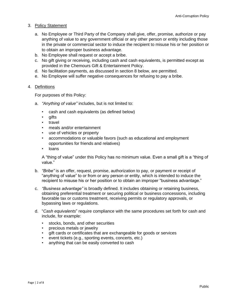- 3. Policy Statement
	- a. No Employee or Third Party of the Company shall give, offer, promise, authorize or pay anything of value to any government official or any other person or entity including those in the private or commercial sector to induce the recipient to misuse his or her position or to obtain an improper business advantage.
	- b. No Employee shall request or accept a bribe.
	- c. No gift giving or receiving, including cash and cash equivalents, is permitted except as provided in the Chemours Gift & Entertainment Policy.
	- d. No facilitation payments, as discussed in section 8 below, are permitted.
	- e. No Employee will suffer negative consequences for refusing to pay a bribe.

## 4. Definitions

For purposes of this Policy:

- a. *"Anything of value"* includes, but is not limited to:
	- cash and cash equivalents (as defined below)
	- gifts
	- travel
	- meals and/or entertainment
	- use of vehicles or property
	- accommodations or valuable favors (such as educational and employment opportunities for friends and relatives)
	- loans

A "thing of value" under this Policy has no minimum value. Even a small gift is a "thing of value."

- b. *"Bribe"* is an offer, request, promise, authorization to pay, or payment or receipt of "anything of value" to or from or any person or entity, which is intended to induce the recipient to misuse his or her position or to obtain an improper "business advantage."
- c. *"Business advantage"* is broadly defined. It includes obtaining or retaining business, obtaining preferential treatment or securing political or business concessions, including favorable tax or customs treatment, receiving permits or regulatory approvals, or bypassing laws or regulations.
- d. "*Cash equivalents*" require compliance with the same procedures set forth for cash and include, for example:
	- stocks, bonds, and other securities
	- precious metals or jewelry
	- gift cards or certificates that are exchangeable for goods or services
	- event tickets (e.g., sporting events, concerts, etc.)
	- anything that can be easily converted to cash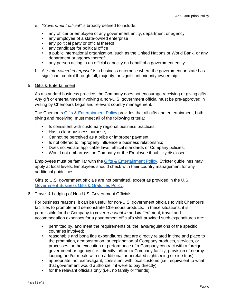- e. *"Government official"* is broadly defined to include:
	- any officer or employee of any government entity, department or agency
	- any employee of a state-owned enterprise
	- any political party or official thereof
	- any candidate for political office
	- a public international organization, such as the United Nations or World Bank, or any department or agency thereof
	- any person acting in an official capacity on behalf of a government entity
- f. A "s*tate-owned enterprise*" is a business enterprise where the government or state has significant control through full, majority, or significant minority ownership.

## 5. Gifts & Entertainment

As a standard business practice, the Company does not encourage receiving or giving gifts. Any gift or entertainment involving a non-U.S. government official must be pre-approved in writing by Chemours Legal and relevant country management.

The Chemours [Gifts & Entertainment](https://chemours.sharepoint.com/legal/POLICIES%20PROCEDURES%20AND%20GUIDELINES/Gift%20and%20Entertainment%20Policy.pdf) Policy provides that all gifts and entertainment, both giving and receiving, must meet all of the following criteria:

- Is consistent with customary regional business practices;
- Has a clear business purpose;
- Cannot be perceived as a bribe or improper payment;
- Is not offered to improperly influence a business relationship;
- Does not violate applicable laws, ethical standards or Company policies;
- Would not embarrass the Company or the Employee if publicly disclosed.

Employees must be familiar with the [Gifts & Entertainment Policy.](https://chemours.sharepoint.com/legal/POLICIES%20PROCEDURES%20AND%20GUIDELINES/Gift%20and%20Entertainment%20Policy.pdf) Stricter guidelines may apply at local levels. Employees should check with their country management for any additional guidelines.

Gifts to U.S. government officials are not permitted, except as provided in the [U.S.](https://chemours.sharepoint.com/legal/POLICIES%20PROCEDURES%20AND%20GUIDELINES/US%20Government%20Business%20Gifts%20and%20Gratuities%20Policy.pdf)  [Government Business Gifts & Gratuities Policy.](https://chemours.sharepoint.com/legal/POLICIES%20PROCEDURES%20AND%20GUIDELINES/US%20Government%20Business%20Gifts%20and%20Gratuities%20Policy.pdf)

#### 6. Travel & Lodging of Non-U.S. Government Officials

For business reasons, it can be useful for non-U.S. government officials to visit Chemours facilities to promote and demonstrate Chemours products. In these situations, it is permissible for the Company to cover *reasonable* and *limited* meal, travel and accommodation expenses for a government official's visit provided such expenditures are:

- permitted by, and meet the requirements of, the laws/regulations of the specific countries involved;
- reasonable and bona fide expenditures that are directly related in time and place to the promotion, demonstration, or explanation of Company products, services, or processes, or the execution or performance of a Company contract with a foreign government or agency (i.e., directly to/from a Company facility, provision of nearby lodging and/or meals with no additional or unrelated sightseeing or side trips);
- appropriate, not extravagant, consistent with local customs (i.e., equivalent to what that government would authorize if it were to pay directly);
- for the relevant officials only (i.e., no family or friends);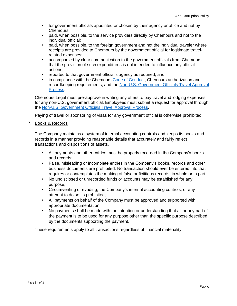- for government officials appointed or chosen by their agency or office and not by Chemours;
- paid, when possible, to the service providers directly by Chemours and not to the individual official;
- paid, when possible, to the foreign government and not the individual traveler where receipts are provided to Chemours by the government official for legitimate travelrelated expenses;
- accompanied by clear communication to the government officials from Chemours that the provision of such expenditures is not intended to influence any official actions;
- reported to that government official's agency as required; and
- in compliance with the Chemours [Code of Conduct,](https://chemours.sharepoint.com/legal/Pages/Code-of-Conduct.aspx) Chemours authorization and recordkeeping requirements, and the [Non-U.S. Government Officials Travel Approval](https://chemours.sharepoint.com/legal/POLICIES%20PROCEDURES%20AND%20GUIDELINES/Non-US%20Government%20Officials%20Travel%20Approval%20Process.pdf)  [Process.](https://chemours.sharepoint.com/legal/POLICIES%20PROCEDURES%20AND%20GUIDELINES/Non-US%20Government%20Officials%20Travel%20Approval%20Process.pdf)

Chemours Legal must pre-approve in writing any offers to pay travel and lodging expenses for any non-U.S. government official. Employees must submit a request for approval through the [Non-U.S. Government Officials](https://chemours.sharepoint.com/legal/POLICIES%20PROCEDURES%20AND%20GUIDELINES/Non-US%20Government%20Officials%20Travel%20Approval%20Process.pdf) Travel Approval Process.

Paying of travel or sponsoring of visas for any government official is otherwise prohibited.

## 7. Books & Records

The Company maintains a system of internal accounting controls and keeps its books and records in a manner providing reasonable details that accurately and fairly reflect transactions and dispositions of assets.

- All payments and other entries must be properly recorded in the Company's books and records;
- False, misleading or incomplete entries in the Company's books, records and other business documents are prohibited. No transaction should ever be entered into that requires or contemplates the making of false or fictitious records, in whole or in part;
- No undisclosed or unrecorded funds or accounts may be established for any purpose;
- Circumventing or evading, the Company's internal accounting controls, or any attempt to do so, is prohibited;
- All payments on behalf of the Company must be approved and supported with appropriate documentation;
- No payments shall be made with the intention or understanding that all or any part of the payment is to be used for any purpose other than the specific purpose described by the documents supporting the payment.

These requirements apply to all transactions regardless of financial materiality.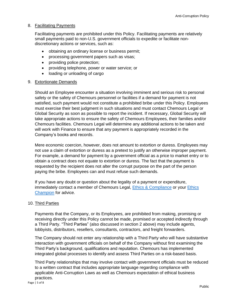## 8. Facilitating Payments

Facilitating payments are prohibited under this Policy. Facilitating payments are relatively small payments paid to non-U.S. government officials to expedite or facilitate nondiscretionary actions or services, such as:

- obtaining an ordinary license or business permit;
- processing government papers such as visas;
- providing police protection;
- providing telephone, power or water service; or
- loading or unloading of cargo

#### 9. Extortionate Demands

Should an Employee encounter a situation involving imminent and serious risk to personal safety or the safety of Chemours personnel or facilities if a demand for payment is not satisfied, such payment would not constitute a prohibited bribe under this Policy. Employees must exercise their best judgment in such situations and must contact Chemours Legal or Global Security as soon as possible to report the incident. If necessary, Global Security will take appropriate actions to ensure the safety of Chemours Employees, their families and/or Chemours facilities. Chemours Legal will determine any additional actions to be taken and will work with Finance to ensure that any payment is appropriately recorded in the Company's books and records.

Mere economic coercion, however, does not amount to extortion or duress. Employees may not use a claim of extortion or duress as a pretext to justify an otherwise improper payment. For example, a demand for payment by a government official as a price to market entry or to obtain a contract does not equate to extortion or duress. The fact that the payment is requested by the recipient does not alter the corrupt purpose on the part of the person paying the bribe. Employees can and must refuse such demands.

If you have any doubt or question about the legality of a payment or expenditure, immediately contact a member of Chemours Legal, [Ethics & Compliance](https://chemours.sharepoint.com/legal/Pages/Compliance.aspx) or your [Ethics](https://chemours.sharepoint.com/legal/POLICIES%20PROCEDURES%20AND%20GUIDELINES/Ethics%20Champions.pdf)  [Champion](https://chemours.sharepoint.com/legal/POLICIES%20PROCEDURES%20AND%20GUIDELINES/Ethics%20Champions.pdf) for advice.

#### 10. Third Parties

Payments that the Company, or its Employees, are prohibited from making, promising or receiving directly under this Policy cannot be made, promised or accepted indirectly through a Third Party. "Third Parties" (also discussed in section 2 above) may include agents, lobbyists, distributors, resellers, consultants, contractors, and freight forwarders.

The Company should not enter any relationship with a Third Party who will have substantive interaction with government officials on behalf of the Company without first examining the Third Party's background, qualifications and reputation. Chemours has implemented integrated global processes to identify and assess Third Parties on a risk-based basis.

Third Party relationships that may involve contact with government officials must be reduced to a written contract that includes appropriate language regarding compliance with applicable Anti-Corruption Laws as well as Chemours expectation of ethical business practices.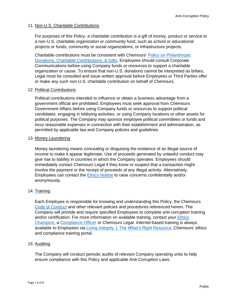## 11. Non-U.S. Charitable Contributions

For purposes of this Policy, a charitable contribution is a gift of money, product or service to a non-U.S. charitable organization or community fund, such as school or educational projects or funds, community or social organizations, or infrastructure projects.

Charitable contributions must be consistent with Chemours' [Policy on Philanthropic](https://chemours.sharepoint.com/Pages/PhilanthropicDonationsGiftsPolicies.aspx)  [Donations, Charitable Contributions, & Gifts.](https://chemours.sharepoint.com/Pages/PhilanthropicDonationsGiftsPolicies.aspx) Employees should consult Corporate Communications before using Company funds or resources to support a charitable organization or cause. To ensure that non-U.S. donations cannot be interpreted as bribes, Legal must be consulted and issue written approval before Employees or Third Parties offer or make any such non-U.S. charitable contribution on behalf of Chemours.

#### 12. Political Contributions

Political contributions intended to influence or obtain a business advantage from a government official are prohibited. Employees must seek approval from Chemours Government Affairs before using Company funds or resources to support political candidates, engaging in lobbying activities, or using Company locations or other assets for political purposes. The Company may sponsor employee political committees or funds and incur reasonable expenses in connection with their establishment and administration, as permitted by applicable law and Company policies and guidelines.

#### 13. Money Laundering

Money laundering means concealing or disguising the existence of an illegal source of income to make it appear legitimate. Use of proceeds generated by unlawful conduct may give rise to liability in countries in which the Company operates. Employees should immediately contact Chemours Legal if they know or suspect that a transaction might involve the payment or the receipt of proceeds of any illegal activity. Alternatively, Employees can contact the [Ethics Hotline](https://chemours.sharepoint.com/Pages/EthicsHotline.aspx) to raise concerns confidentially and/or anonymously.

## 14. Training

Each Employee is responsible for knowing and understanding this Policy, the Chemours [Code of Conduct](https://chemours.sharepoint.com/legal/Pages/Code-of-Conduct.aspx) and other relevant policies and procedures referenced herein. The Company will provide and require specified Employees to complete anti-corruption training and/or certification. For more information on available training, contact your [Ethics](https://chemours.sharepoint.com/legal/POLICIES%20PROCEDURES%20AND%20GUIDELINES/Ethics%20Champions.pdf)  [Champion,](https://chemours.sharepoint.com/legal/POLICIES%20PROCEDURES%20AND%20GUIDELINES/Ethics%20Champions.pdf) a [Compliance Officer](https://chemours.sharepoint.com/legal/POLICIES%20PROCEDURES%20AND%20GUIDELINES/Meet%20Your%20Compliance%20Officer.pdf) or Chemours Legal. Internet-based training is always available to Employees via [Living Integrity](https://chemours-console.lrn.com/) │ The *What's Right* Resource, Chemours' ethics and compliance training portal.

#### 15. Auditing

The Company will conduct periodic audits of relevant Company operating units to help ensure compliance with this Policy and applicable Anti-Corruption Laws.